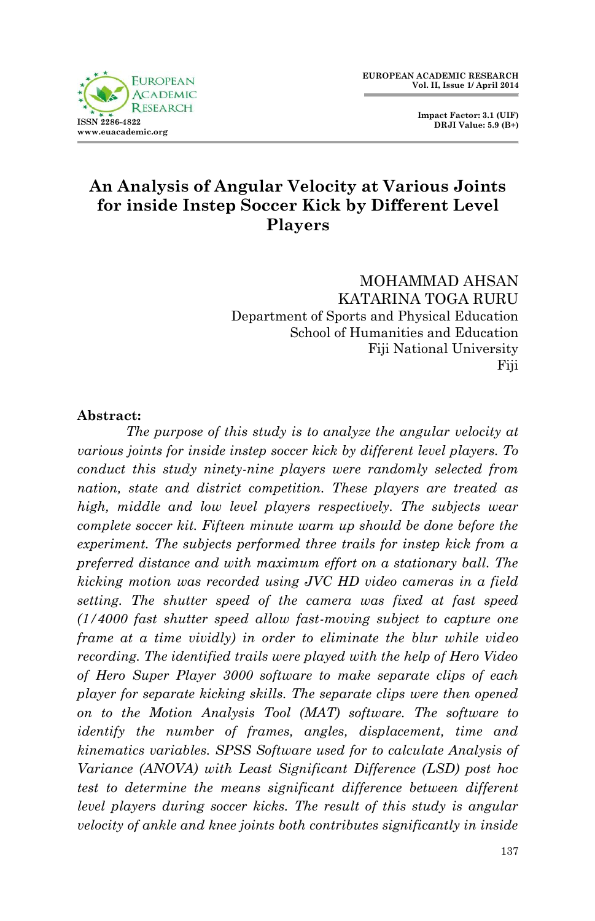



# **An Analysis of Angular Velocity at Various Joints for inside Instep Soccer Kick by Different Level Players**

MOHAMMAD AHSAN KATARINA TOGA RURU Department of Sports and Physical Education School of Humanities and Education Fiji National University Fiji

#### **Abstract:**

*The purpose of this study is to analyze the angular velocity at various joints for inside instep soccer kick by different level players. To conduct this study ninety-nine players were randomly selected from nation, state and district competition. These players are treated as high, middle and low level players respectively. The subjects wear complete soccer kit. Fifteen minute warm up should be done before the experiment. The subjects performed three trails for instep kick from a preferred distance and with maximum effort on a stationary ball. The kicking motion was recorded using JVC HD video cameras in a field setting. The shutter speed of the camera was fixed at fast speed (1/4000 fast shutter speed allow fast-moving subject to capture one frame at a time vividly) in order to eliminate the blur while video recording. The identified trails were played with the help of Hero Video of Hero Super Player 3000 software to make separate clips of each player for separate kicking skills. The separate clips were then opened on to the Motion Analysis Tool (MAT) software. The software to identify the number of frames, angles, displacement, time and kinematics variables. SPSS Software used for to calculate Analysis of Variance (ANOVA) with Least Significant Difference (LSD) post hoc test to determine the means significant difference between different level players during soccer kicks. The result of this study is angular velocity of ankle and knee joints both contributes significantly in inside*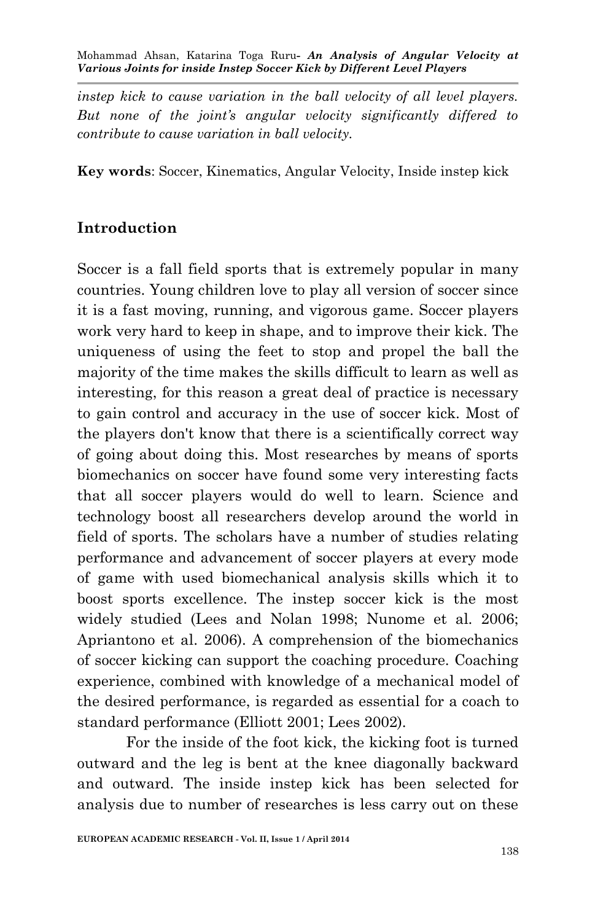*instep kick to cause variation in the ball velocity of all level players. But none of the joint's angular velocity significantly differed to contribute to cause variation in ball velocity.* 

**Key words**: Soccer, Kinematics, Angular Velocity, Inside instep kick

## **Introduction**

Soccer is a fall field sports that is extremely popular in many countries. Young children love to play all version of soccer since it is a fast moving, running, and vigorous game. Soccer players work very hard to keep in shape, and to improve their kick. The uniqueness of using the feet to stop and propel the ball the majority of the time makes the skills difficult to learn as well as interesting, for this reason a great deal of practice is necessary to gain control and accuracy in the use of soccer kick. Most of the players don't know that there is a scientifically correct way of going about doing this. Most researches by means of sports biomechanics on soccer have found some very interesting facts that all soccer players would do well to learn. Science and technology boost all researchers develop around the world in field of sports. The scholars have a number of studies relating performance and advancement of soccer players at every mode of game with used biomechanical analysis skills which it to boost sports excellence. The instep soccer kick is the most widely studied (Lees and Nolan 1998; Nunome et al. 2006; Apriantono et al. 2006). A comprehension of the biomechanics of soccer kicking can support the coaching procedure. Coaching experience, combined with knowledge of a mechanical model of the desired performance, is regarded as essential for a coach to standard performance (Elliott 2001; Lees 2002).

For the inside of the foot kick, the kicking foot is turned outward and the leg is bent at the knee diagonally backward and outward. The inside instep kick has been selected for analysis due to number of researches is less carry out on these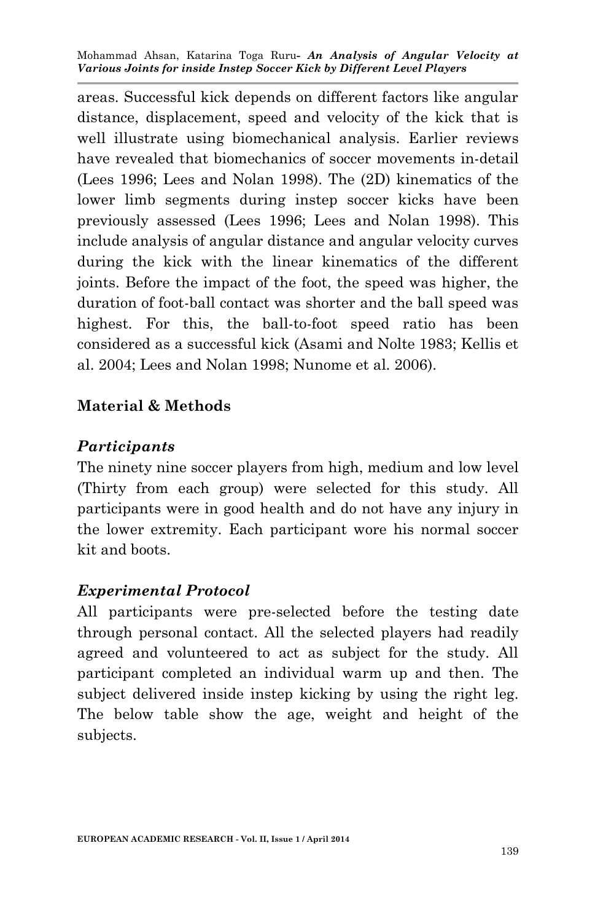areas. Successful kick depends on different factors like angular distance, displacement, speed and velocity of the kick that is well illustrate using biomechanical analysis. Earlier reviews have revealed that biomechanics of soccer movements in-detail (Lees 1996; Lees and Nolan 1998). The (2D) kinematics of the lower limb segments during instep soccer kicks have been previously assessed (Lees 1996; Lees and Nolan 1998). This include analysis of angular distance and angular velocity curves during the kick with the linear kinematics of the different joints. Before the impact of the foot, the speed was higher, the duration of foot-ball contact was shorter and the ball speed was highest. For this, the ball-to-foot speed ratio has been considered as a successful kick (Asami and Nolte 1983; Kellis et al. 2004; Lees and Nolan 1998; Nunome et al. 2006).

## **Material & Methods**

## *Participants*

The ninety nine soccer players from high, medium and low level (Thirty from each group) were selected for this study. All participants were in good health and do not have any injury in the lower extremity. Each participant wore his normal soccer kit and boots.

## *Experimental Protocol*

All participants were pre-selected before the testing date through personal contact. All the selected players had readily agreed and volunteered to act as subject for the study. All participant completed an individual warm up and then. The subject delivered inside instep kicking by using the right leg. The below table show the age, weight and height of the subjects.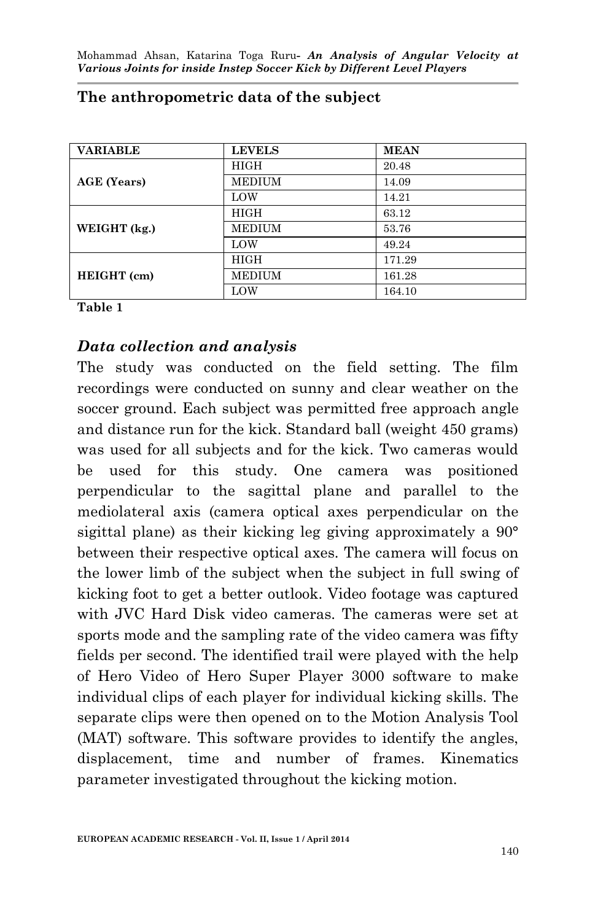| <b>VARIABLE</b> | <b>LEVELS</b> | <b>MEAN</b> |
|-----------------|---------------|-------------|
| AGE (Years)     | <b>HIGH</b>   | 20.48       |
|                 | <b>MEDIUM</b> | 14.09       |
|                 | LOW           | 14.21       |
| WEIGHT (kg.)    | <b>HIGH</b>   | 63.12       |
|                 | <b>MEDIUM</b> | 53.76       |
|                 | LOW           | 49.24       |
| HEIGHT (cm)     | <b>HIGH</b>   | 171.29      |
|                 | <b>MEDIUM</b> | 161.28      |
|                 | LOW           | 164.10      |

#### **The anthropometric data of the subject**

#### **Table 1**

## *Data collection and analysis*

The study was conducted on the field setting. The film recordings were conducted on sunny and clear weather on the soccer ground. Each subject was permitted free approach angle and distance run for the kick. Standard ball (weight 450 grams) was used for all subjects and for the kick. Two cameras would be used for this study. One camera was positioned perpendicular to the sagittal plane and parallel to the mediolateral axis (camera optical axes perpendicular on the sigittal plane) as their kicking leg giving approximately a 90° between their respective optical axes. The camera will focus on the lower limb of the subject when the subject in full swing of kicking foot to get a better outlook. Video footage was captured with JVC Hard Disk video cameras. The cameras were set at sports mode and the sampling rate of the video camera was fifty fields per second. The identified trail were played with the help of Hero Video of Hero Super Player 3000 software to make individual clips of each player for individual kicking skills. The separate clips were then opened on to the Motion Analysis Tool (MAT) software. This software provides to identify the angles, displacement, time and number of frames. Kinematics parameter investigated throughout the kicking motion.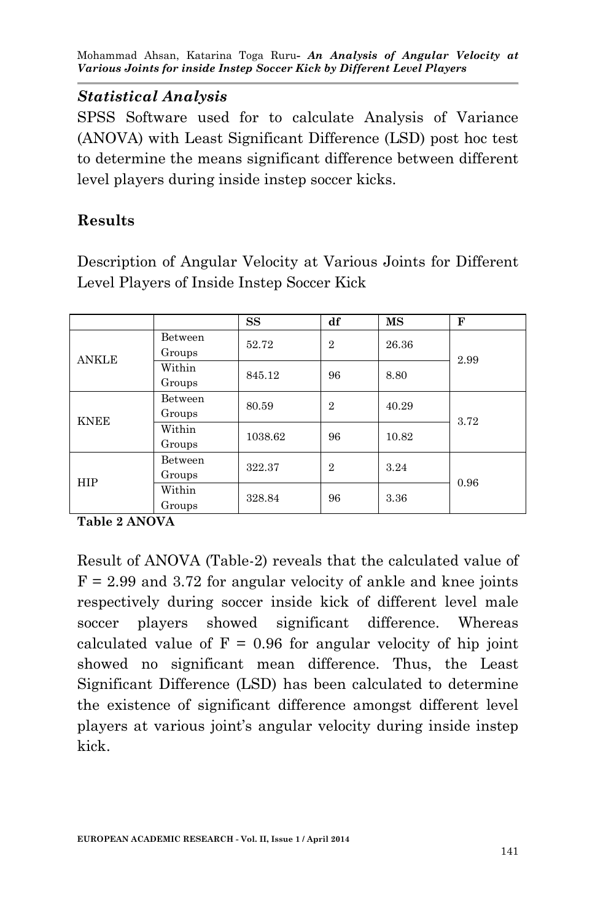## *Statistical Analysis*

SPSS Software used for to calculate Analysis of Variance (ANOVA) with Least Significant Difference (LSD) post hoc test to determine the means significant difference between different level players during inside instep soccer kicks.

# **Results**

Description of Angular Velocity at Various Joints for Different Level Players of Inside Instep Soccer Kick

|              |         | SS      | df             | MS    | $\mathbf{F}$ |
|--------------|---------|---------|----------------|-------|--------------|
| <b>ANKLE</b> | Between | 52.72   | $\overline{2}$ | 26.36 | 2.99         |
|              | Groups  |         |                |       |              |
|              | Within  | 845.12  | 96             | 8.80  |              |
|              | Groups  |         |                |       |              |
| <b>KNEE</b>  | Between | 80.59   | $\overline{2}$ | 40.29 | 3.72         |
|              | Groups  |         |                |       |              |
|              | Within  | 1038.62 | 96             | 10.82 |              |
|              | Groups  |         |                |       |              |
| <b>HIP</b>   | Between | 322.37  | $\overline{2}$ | 3.24  | 0.96         |
|              | Groups  |         |                |       |              |
|              | Within  | 328.84  | 96             | 3.36  |              |
|              | Groups  |         |                |       |              |

**Table 2 ANOVA** 

Result of ANOVA (Table-2) reveals that the calculated value of  $F = 2.99$  and 3.72 for angular velocity of ankle and knee joints respectively during soccer inside kick of different level male soccer players showed significant difference. Whereas calculated value of  $F = 0.96$  for angular velocity of hip joint showed no significant mean difference. Thus, the Least Significant Difference (LSD) has been calculated to determine the existence of significant difference amongst different level players at various joint's angular velocity during inside instep kick.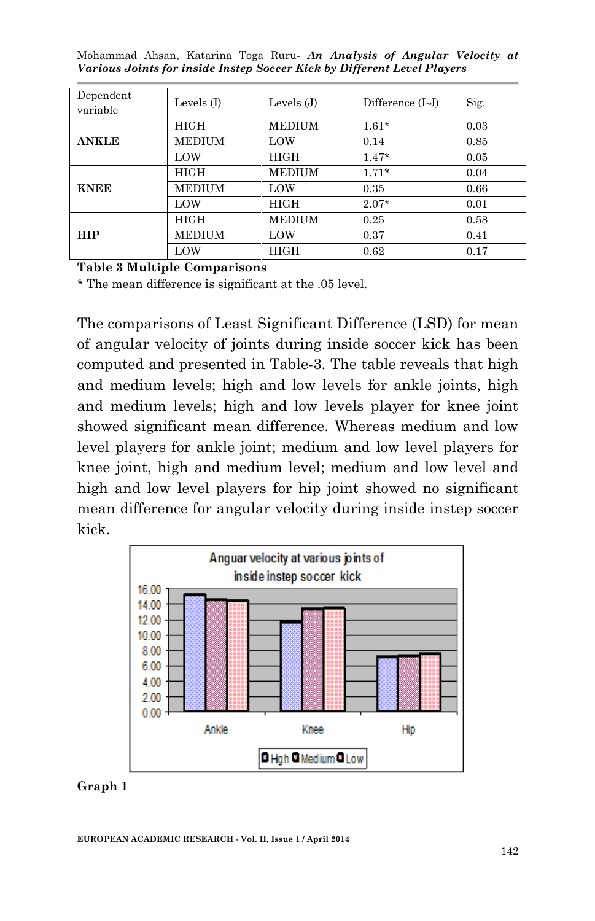| Dependent<br>variable | Levels $(I)$  | Levels $(J)$  | Difference $(I-J)$ | Sig. |
|-----------------------|---------------|---------------|--------------------|------|
| <b>ANKLE</b>          | HIGH          | <b>MEDIUM</b> | $1.61*$            | 0.03 |
|                       | <b>MEDIUM</b> | LOW           | 0.14               | 0.85 |
|                       | LOW           | <b>HIGH</b>   | $1.47*$            | 0.05 |
| <b>KNEE</b>           | HIGH          | <b>MEDIUM</b> | $1.71*$            | 0.04 |
|                       | <b>MEDIUM</b> | LOW           | 0.35               | 0.66 |
|                       | LOW           | HIGH          | $2.07*$            | 0.01 |
| <b>HIP</b>            | HIGH          | <b>MEDIUM</b> | 0.25               | 0.58 |
|                       | <b>MEDIUM</b> | LOW           | 0.37               | 0.41 |
|                       | LOW           | <b>HIGH</b>   | 0.62               | 0.17 |

#### **Table 3 Multiple Comparisons**

\* The mean difference is significant at the .05 level.

The comparisons of Least Significant Difference (LSD) for mean of angular velocity of joints during inside soccer kick has been computed and presented in Table-3. The table reveals that high and medium levels; high and low levels for ankle joints, high and medium levels; high and low levels player for knee joint showed significant mean difference. Whereas medium and low level players for ankle joint; medium and low level players for knee joint, high and medium level; medium and low level and high and low level players for hip joint showed no significant mean difference for angular velocity during inside instep soccer kick.



#### **Graph 1**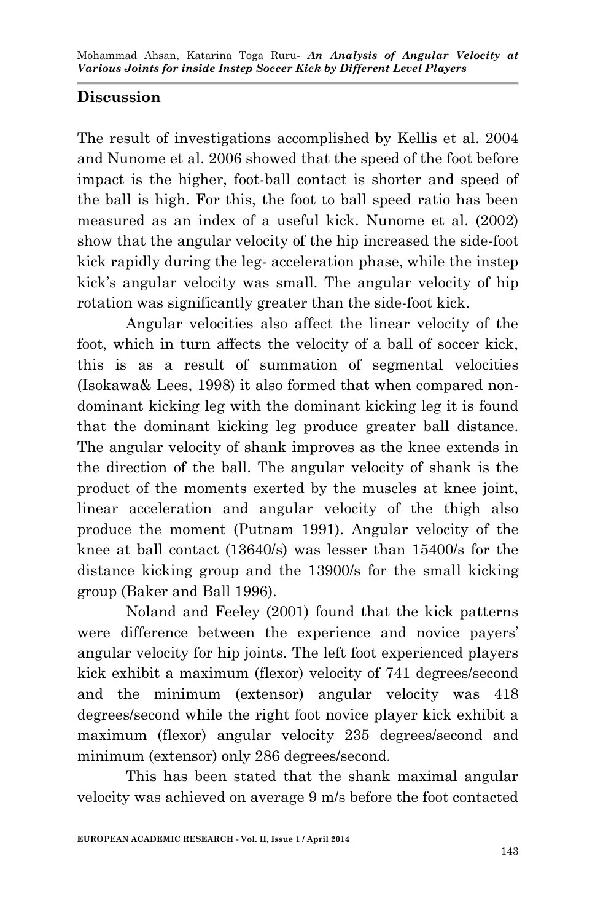# **Discussion**

The result of investigations accomplished by Kellis et al. 2004 and Nunome et al. 2006 showed that the speed of the foot before impact is the higher, foot-ball contact is shorter and speed of the ball is high. For this, the foot to ball speed ratio has been measured as an index of a useful kick. Nunome et al. (2002) show that the angular velocity of the hip increased the side-foot kick rapidly during the leg- acceleration phase, while the instep kick's angular velocity was small. The angular velocity of hip rotation was significantly greater than the side-foot kick.

Angular velocities also affect the linear velocity of the foot, which in turn affects the velocity of a ball of soccer kick, this is as a result of summation of segmental velocities (Isokawa& Lees, 1998) it also formed that when compared nondominant kicking leg with the dominant kicking leg it is found that the dominant kicking leg produce greater ball distance. The angular velocity of shank improves as the knee extends in the direction of the ball. The angular velocity of shank is the product of the moments exerted by the muscles at knee joint, linear acceleration and angular velocity of the thigh also produce the moment (Putnam 1991). Angular velocity of the knee at ball contact (13640/s) was lesser than 15400/s for the distance kicking group and the 13900/s for the small kicking group (Baker and Ball 1996).

Noland and Feeley (2001) found that the kick patterns were difference between the experience and novice payers' angular velocity for hip joints. The left foot experienced players kick exhibit a maximum (flexor) velocity of 741 degrees/second and the minimum (extensor) angular velocity was 418 degrees/second while the right foot novice player kick exhibit a maximum (flexor) angular velocity 235 degrees/second and minimum (extensor) only 286 degrees/second.

This has been stated that the shank maximal angular velocity was achieved on average 9 m/s before the foot contacted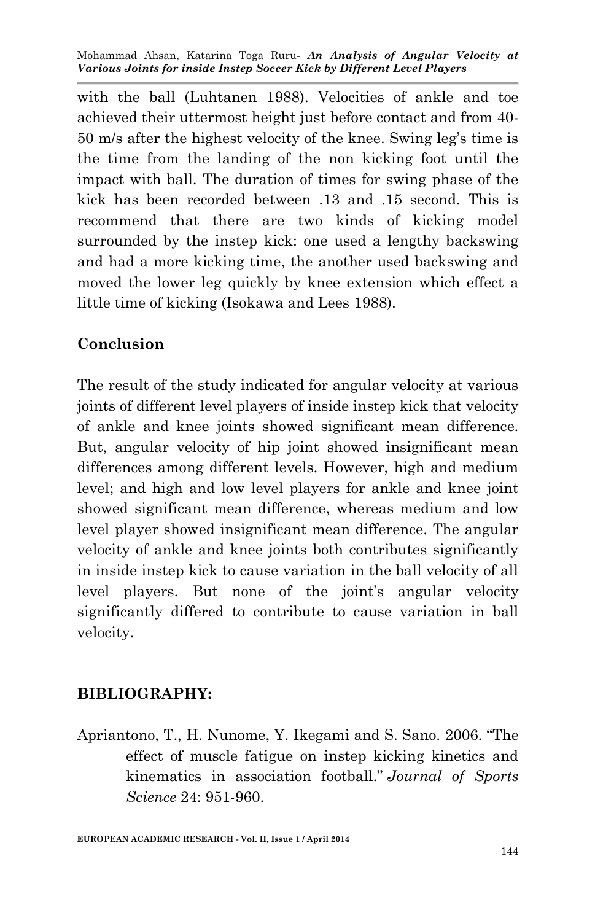with the ball (Luhtanen 1988). Velocities of ankle and toe achieved their uttermost height just before contact and from 40- 50 m/s after the highest velocity of the knee. Swing leg's time is the time from the landing of the non kicking foot until the impact with ball. The duration of times for swing phase of the kick has been recorded between .13 and .15 second. This is recommend that there are two kinds of kicking model surrounded by the instep kick: one used a lengthy backswing and had a more kicking time, the another used backswing and moved the lower leg quickly by knee extension which effect a little time of kicking (Isokawa and Lees 1988).

## **Conclusion**

The result of the study indicated for angular velocity at various joints of different level players of inside instep kick that velocity of ankle and knee joints showed significant mean difference. But, angular velocity of hip joint showed insignificant mean differences among different levels. However, high and medium level; and high and low level players for ankle and knee joint showed significant mean difference, whereas medium and low level player showed insignificant mean difference. The angular velocity of ankle and knee joints both contributes significantly in inside instep kick to cause variation in the ball velocity of all level players. But none of the joint's angular velocity significantly differed to contribute to cause variation in ball velocity.

## **BIBLIOGRAPHY:**

Apriantono, T., H. Nunome, Y. Ikegami and S. Sano. 2006. "The effect of muscle fatigue on instep kicking kinetics and kinematics in association football." *Journal of Sports Science* 24: 951-960.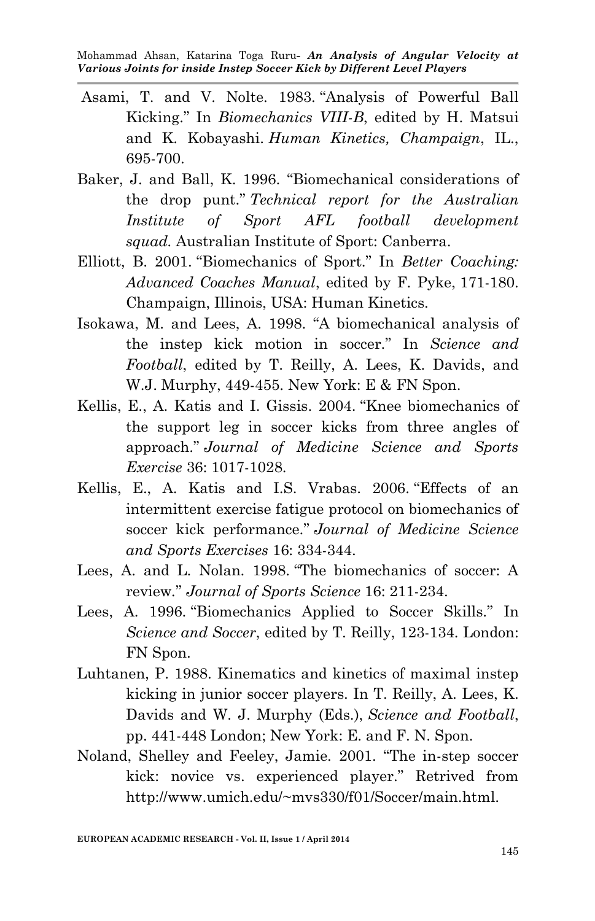- Asami, T. and V. Nolte. 1983. "Analysis of Powerful Ball Kicking." In *Biomechanics VIII-B*, edited by H. Matsui and K. Kobayashi. *Human Kinetics, Champaign*, IL., 695-700.
- Baker, J. and Ball, K. 1996. "Biomechanical considerations of the drop punt." *Technical report for the Australian Institute of Sport AFL football development squad.* Australian Institute of Sport: Canberra.
- Elliott, B. 2001. "Biomechanics of Sport." In *Better Coaching: Advanced Coaches Manual*, edited by F. Pyke, 171-180. Champaign, Illinois, USA: Human Kinetics.
- Isokawa, M. and Lees, A. 1998. "A biomechanical analysis of the instep kick motion in soccer." In *Science and Football*, edited by T. Reilly, A. Lees, K. Davids, and W.J. Murphy, 449-455. New York: E & FN Spon.
- Kellis, E., A. Katis and I. Gissis. 2004. "Knee biomechanics of the support leg in soccer kicks from three angles of approach." *Journal of Medicine Science and Sports Exercise* 36: 1017-1028.
- Kellis, E., A. Katis and I.S. Vrabas. 2006. "Effects of an intermittent exercise fatigue protocol on biomechanics of soccer kick performance." *Journal of Medicine Science and Sports Exercises* 16: 334-344.
- Lees, A. and L. Nolan. 1998. "The biomechanics of soccer: A review*.*" *Journal of Sports Science* 16: 211-234.
- Lees, A. 1996. "Biomechanics Applied to Soccer Skills." In *Science and Soccer*, edited by T. Reilly, 123-134. London: FN Spon.
- Luhtanen, P. 1988. Kinematics and kinetics of maximal instep kicking in junior soccer players. In T. Reilly, A. Lees, K. Davids and W. J. Murphy (Eds.), *Science and Football*, pp. 441-448 London; New York: E. and F. N. Spon.
- Noland, Shelley and Feeley, Jamie. 2001. "The in-step soccer kick: novice vs. experienced player." Retrived from http://www.umich.edu/~mvs330/f01/Soccer/main.html.